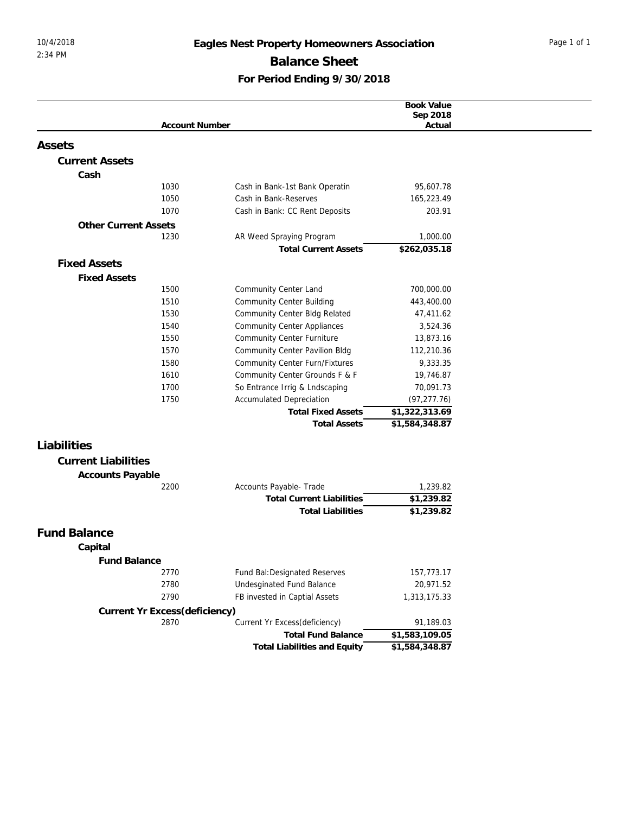## 10/4/2018 **Eagles Nest Property Homeowners Association** Page 1 of 1 **Balance Sheet For Period Ending 9/30/2018**

| Book Value<br>Sep 2018<br><b>Account Number</b><br>Actual<br>Assets<br><b>Current Assets</b><br>Cash<br>1030<br>95,607.78<br>Cash in Bank-1st Bank Operatin<br>1050<br>Cash in Bank-Reserves<br>165,223.49<br>1070<br>Cash in Bank: CC Rent Deposits<br>203.91<br><b>Other Current Assets</b><br>1,000.00<br>1230<br>AR Weed Spraying Program<br>\$262,035.18<br><b>Total Current Assets</b><br><b>Fixed Assets</b><br><b>Fixed Assets</b><br>1500<br>Community Center Land<br>700,000.00<br>1510<br><b>Community Center Building</b><br>443,400.00 |
|-----------------------------------------------------------------------------------------------------------------------------------------------------------------------------------------------------------------------------------------------------------------------------------------------------------------------------------------------------------------------------------------------------------------------------------------------------------------------------------------------------------------------------------------------------|
|                                                                                                                                                                                                                                                                                                                                                                                                                                                                                                                                                     |
|                                                                                                                                                                                                                                                                                                                                                                                                                                                                                                                                                     |
|                                                                                                                                                                                                                                                                                                                                                                                                                                                                                                                                                     |
|                                                                                                                                                                                                                                                                                                                                                                                                                                                                                                                                                     |
|                                                                                                                                                                                                                                                                                                                                                                                                                                                                                                                                                     |
|                                                                                                                                                                                                                                                                                                                                                                                                                                                                                                                                                     |
|                                                                                                                                                                                                                                                                                                                                                                                                                                                                                                                                                     |
|                                                                                                                                                                                                                                                                                                                                                                                                                                                                                                                                                     |
|                                                                                                                                                                                                                                                                                                                                                                                                                                                                                                                                                     |
|                                                                                                                                                                                                                                                                                                                                                                                                                                                                                                                                                     |
|                                                                                                                                                                                                                                                                                                                                                                                                                                                                                                                                                     |
|                                                                                                                                                                                                                                                                                                                                                                                                                                                                                                                                                     |
|                                                                                                                                                                                                                                                                                                                                                                                                                                                                                                                                                     |
|                                                                                                                                                                                                                                                                                                                                                                                                                                                                                                                                                     |
|                                                                                                                                                                                                                                                                                                                                                                                                                                                                                                                                                     |
| 1530<br>Community Center Bldg Related<br>47,411.62                                                                                                                                                                                                                                                                                                                                                                                                                                                                                                  |
| 1540<br><b>Community Center Appliances</b><br>3,524.36                                                                                                                                                                                                                                                                                                                                                                                                                                                                                              |
| <b>Community Center Furniture</b><br>1550<br>13,873.16                                                                                                                                                                                                                                                                                                                                                                                                                                                                                              |
| 1570<br><b>Community Center Pavilion Bldg</b><br>112,210.36                                                                                                                                                                                                                                                                                                                                                                                                                                                                                         |
| Community Center Furn/Fixtures<br>1580<br>9,333.35                                                                                                                                                                                                                                                                                                                                                                                                                                                                                                  |
| 1610<br>Community Center Grounds F & F<br>19,746.87                                                                                                                                                                                                                                                                                                                                                                                                                                                                                                 |
| So Entrance Irrig & Lndscaping<br>1700<br>70,091.73                                                                                                                                                                                                                                                                                                                                                                                                                                                                                                 |
| 1750<br><b>Accumulated Depreciation</b><br>(97, 277.76)                                                                                                                                                                                                                                                                                                                                                                                                                                                                                             |
| \$1,322,313.69<br><b>Total Fixed Assets</b>                                                                                                                                                                                                                                                                                                                                                                                                                                                                                                         |
| \$1,584,348.87<br><b>Total Assets</b>                                                                                                                                                                                                                                                                                                                                                                                                                                                                                                               |
|                                                                                                                                                                                                                                                                                                                                                                                                                                                                                                                                                     |
| Liabilities                                                                                                                                                                                                                                                                                                                                                                                                                                                                                                                                         |
| <b>Current Liabilities</b>                                                                                                                                                                                                                                                                                                                                                                                                                                                                                                                          |
| Accounts Payable                                                                                                                                                                                                                                                                                                                                                                                                                                                                                                                                    |
| Accounts Payable- Trade<br>2200<br>1,239.82                                                                                                                                                                                                                                                                                                                                                                                                                                                                                                         |
| \$1,239.82<br><b>Total Current Liabilities</b>                                                                                                                                                                                                                                                                                                                                                                                                                                                                                                      |
| \$1,239.82<br><b>Total Liabilities</b>                                                                                                                                                                                                                                                                                                                                                                                                                                                                                                              |
|                                                                                                                                                                                                                                                                                                                                                                                                                                                                                                                                                     |
| <b>Fund Balance</b>                                                                                                                                                                                                                                                                                                                                                                                                                                                                                                                                 |
| Capital                                                                                                                                                                                                                                                                                                                                                                                                                                                                                                                                             |
| <b>Fund Balance</b>                                                                                                                                                                                                                                                                                                                                                                                                                                                                                                                                 |
| 2770<br>Fund Bal: Designated Reserves<br>157,773.17                                                                                                                                                                                                                                                                                                                                                                                                                                                                                                 |
| 2780<br>Undesginated Fund Balance<br>20,971.52                                                                                                                                                                                                                                                                                                                                                                                                                                                                                                      |
| 2790<br>FB invested in Captial Assets<br>1,313,175.33                                                                                                                                                                                                                                                                                                                                                                                                                                                                                               |
| Current Yr Excess(deficiency)                                                                                                                                                                                                                                                                                                                                                                                                                                                                                                                       |
| 2870<br>Current Yr Excess(deficiency)<br>91,189.03                                                                                                                                                                                                                                                                                                                                                                                                                                                                                                  |
| <b>Total Fund Balance</b><br>\$1,583,109.05                                                                                                                                                                                                                                                                                                                                                                                                                                                                                                         |
| \$1,584,348.87<br>Total Liabilities and Equity                                                                                                                                                                                                                                                                                                                                                                                                                                                                                                      |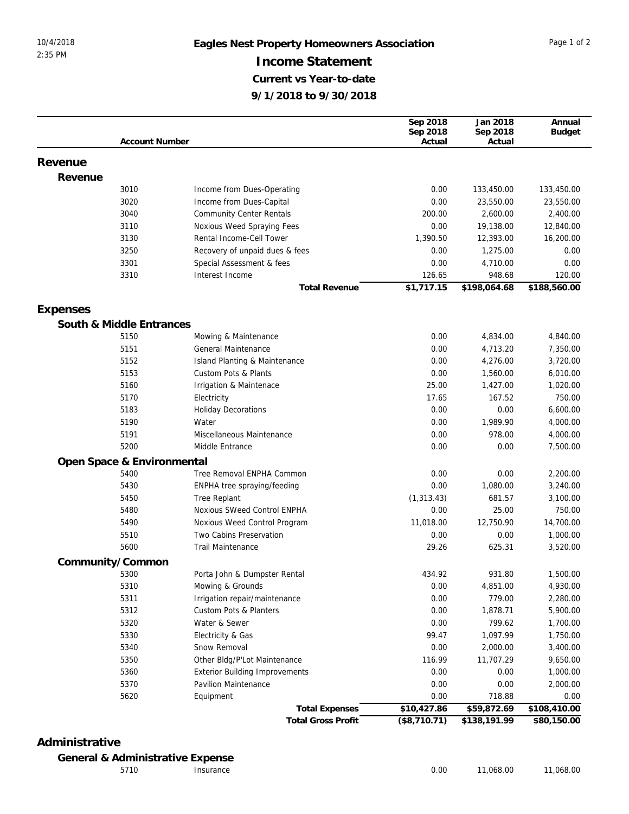## 10/4/2018 **Eagles Nest Property Homeowners Association** Page 1 of 2 **Income Statement Current vs Year-to-date 9/1/2018 to 9/30/2018**

|          |                            |                                       | Sep 2018     | Jan 2018     | Annual        |
|----------|----------------------------|---------------------------------------|--------------|--------------|---------------|
|          |                            |                                       | Sep 2018     | Sep 2018     | <b>Budget</b> |
|          | <b>Account Number</b>      |                                       | Actual       | Actual       |               |
| Revenue  |                            |                                       |              |              |               |
| Revenue  |                            |                                       |              |              |               |
|          | 3010                       | Income from Dues-Operating            | 0.00         | 133,450.00   | 133,450.00    |
|          | 3020                       | Income from Dues-Capital              | 0.00         | 23,550.00    | 23,550.00     |
|          | 3040                       | <b>Community Center Rentals</b>       | 200.00       | 2,600.00     | 2,400.00      |
|          | 3110                       | Noxious Weed Spraying Fees            | 0.00         | 19,138.00    | 12,840.00     |
|          | 3130                       | Rental Income-Cell Tower              | 1,390.50     | 12,393.00    | 16,200.00     |
|          | 3250                       | Recovery of unpaid dues & fees        | 0.00         | 1,275.00     | 0.00          |
|          | 3301                       | Special Assessment & fees             | 0.00         | 4,710.00     | 0.00          |
|          | 3310                       | Interest Income                       | 126.65       | 948.68       | 120.00        |
|          |                            | <b>Total Revenue</b>                  | \$1,717.15   | \$198,064.68 | \$188,560.00  |
|          |                            |                                       |              |              |               |
| Expenses |                            |                                       |              |              |               |
|          | South & Middle Entrances   |                                       |              |              |               |
|          | 5150                       | Mowing & Maintenance                  | 0.00         | 4,834.00     | 4,840.00      |
|          | 5151                       | General Maintenance                   | 0.00         | 4,713.20     | 7,350.00      |
|          | 5152                       | Island Planting & Maintenance         | 0.00         | 4,276.00     | 3,720.00      |
|          | 5153                       | <b>Custom Pots &amp; Plants</b>       | 0.00         | 1,560.00     | 6,010.00      |
|          | 5160                       | Irrigation & Maintenace               | 25.00        | 1,427.00     | 1,020.00      |
|          | 5170                       | Electricity                           | 17.65        | 167.52       | 750.00        |
|          | 5183                       | <b>Holiday Decorations</b>            | 0.00         | 0.00         | 6,600.00      |
|          | 5190                       | Water                                 | 0.00         | 1,989.90     | 4,000.00      |
|          | 5191                       | Miscellaneous Maintenance             | 0.00         | 978.00       | 4,000.00      |
|          | 5200                       | Middle Entrance                       | 0.00         | 0.00         | 7,500.00      |
|          | Open Space & Environmental |                                       |              |              |               |
|          | 5400                       | Tree Removal ENPHA Common             | 0.00         | 0.00         | 2,200.00      |
|          | 5430                       | ENPHA tree spraying/feeding           | 0.00         | 1,080.00     | 3,240.00      |
|          | 5450                       | <b>Tree Replant</b>                   | (1, 313.43)  | 681.57       | 3,100.00      |
|          | 5480                       | Noxious SWeed Control ENPHA           | 0.00         | 25.00        | 750.00        |
|          | 5490                       | Noxious Weed Control Program          | 11,018.00    | 12,750.90    | 14,700.00     |
|          | 5510                       | Two Cabins Preservation               | 0.00         | 0.00         | 1,000.00      |
|          | 5600                       | <b>Trail Maintenance</b>              | 29.26        | 625.31       | 3,520.00      |
|          | Community/Common           |                                       |              |              |               |
|          | 5300                       | Porta John & Dumpster Rental          | 434.92       | 931.80       | 1,500.00      |
|          | 5310                       | Mowing & Grounds                      | 0.00         | 4,851.00     | 4,930.00      |
|          | 5311                       | Irrigation repair/maintenance         | 0.00         | 779.00       | 2,280.00      |
|          | 5312                       | Custom Pots & Planters                | 0.00         | 1,878.71     | 5,900.00      |
|          | 5320                       | Water & Sewer                         | 0.00         | 799.62       | 1,700.00      |
|          | 5330                       | Electricity & Gas                     | 99.47        | 1,097.99     | 1,750.00      |
|          | 5340                       | Snow Removal                          | 0.00         | 2,000.00     | 3,400.00      |
|          | 5350                       | Other Bldg/P'Lot Maintenance          | 116.99       | 11,707.29    | 9,650.00      |
|          | 5360                       | <b>Exterior Building Improvements</b> | 0.00         | 0.00         | 1,000.00      |
|          | 5370                       | Pavilion Maintenance                  | 0.00         | 0.00         | 2,000.00      |
|          | 5620                       | Equipment                             | 0.00         | 718.88       | 0.00          |
|          |                            | <b>Total Expenses</b>                 | \$10,427.86  | \$59,872.69  | \$108,410.00  |
|          |                            | <b>Total Gross Profit</b>             | (\$8,710.71) | \$138,191.99 | \$80,150.00   |

## **Administrative**

**General & Administrative Expense**